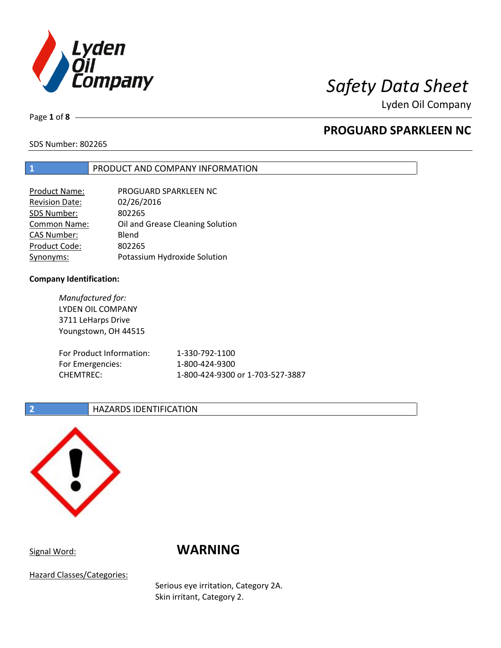

Lyden Oil Company

Page **1** of **8**

## **PROGUARD SPARKLEEN NC**

SDS Number: 802265

### **1** PRODUCT AND COMPANY INFORMATION

| Product Name:         | PROGUARD SPARKLEEN NC            |
|-----------------------|----------------------------------|
| <b>Revision Date:</b> | 02/26/2016                       |
| SDS Number:           | 802265                           |
| Common Name:          | Oil and Grease Cleaning Solution |
| <b>CAS Number:</b>    | Blend                            |
| Product Code:         | 802265                           |
| Synonyms:             | Potassium Hydroxide Solution     |

### **Company Identification:**

*Manufactured for:* LYDEN OIL COMPANY 3711 LeHarps Drive Youngstown, OH 44515 For Product Information: 1-330-792-1100 For Emergencies: 1-800-424-9300 CHEMTREC: 1-800-424-9300 or 1-703-527-3887

### **2 HAZARDS IDENTIFICATION**



# Signal Word: **WARNING**

Hazard Classes/Categories:

Serious eye irritation, Category 2A. Skin irritant, Category 2.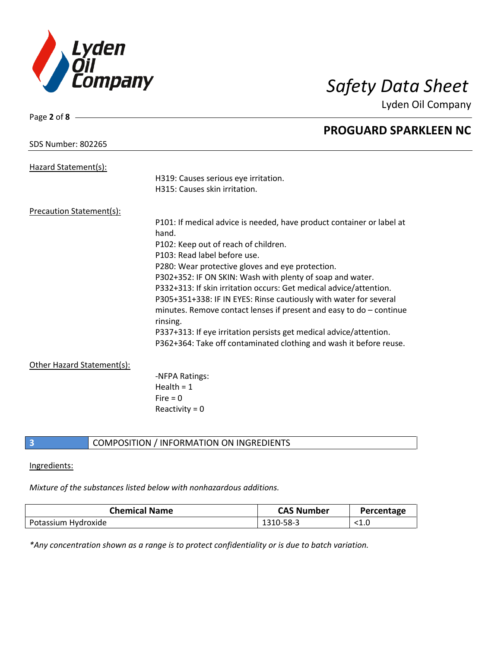

Lyden Oil Company

| Page 2 of $8 -$                 |                                                                       |
|---------------------------------|-----------------------------------------------------------------------|
|                                 | <b>PROGUARD SPARKLEEN NC</b>                                          |
| <b>SDS Number: 802265</b>       |                                                                       |
| Hazard Statement(s):            |                                                                       |
|                                 | H319: Causes serious eye irritation.                                  |
|                                 | H315: Causes skin irritation.                                         |
|                                 |                                                                       |
| <b>Precaution Statement(s):</b> |                                                                       |
|                                 | P101: If medical advice is needed, have product container or label at |
|                                 | hand.                                                                 |
|                                 | P102: Keep out of reach of children.                                  |
|                                 | P103: Read label before use.                                          |
|                                 | P280: Wear protective gloves and eye protection.                      |
|                                 | P302+352: IF ON SKIN: Wash with plenty of soap and water.             |
|                                 | P332+313: If skin irritation occurs: Get medical advice/attention.    |
|                                 | P305+351+338: IF IN EYES: Rinse cautiously with water for several     |
|                                 | minutes. Remove contact lenses if present and easy to $do$ – continue |
|                                 | rinsing.                                                              |
|                                 | P337+313: If eye irritation persists get medical advice/attention.    |
|                                 | P362+364: Take off contaminated clothing and wash it before reuse.    |
| Other Hazard Statement(s):      |                                                                       |
|                                 | -NFPA Ratings:                                                        |
|                                 | Health = $1$                                                          |
|                                 | $Fire = 0$                                                            |
|                                 | Reactivity = $0$                                                      |
|                                 |                                                                       |

### **3** COMPOSITION / INFORMATION ON INGREDIENTS

### Ingredients:

### *Mixture of the substances listed below with nonhazardous additions.*

| <b>Chemical Name</b> | <b>CAS Number</b> | Percentage |
|----------------------|-------------------|------------|
| Potassium Hydroxide  | 1310-58-3         |            |

*\*Any concentration shown as a range is to protect confidentiality or is due to batch variation.*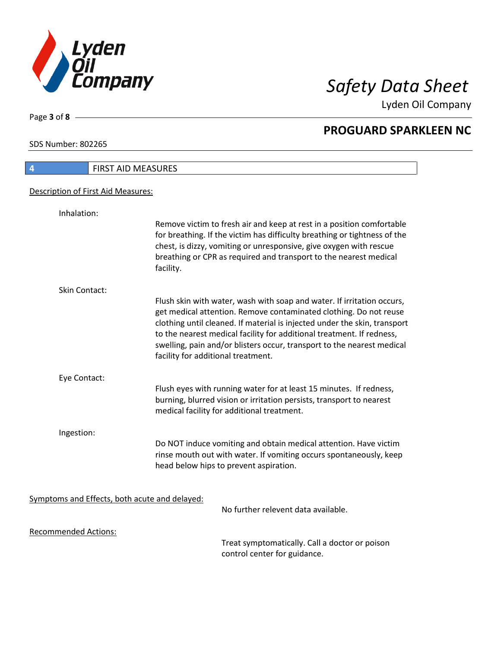

Lyden Oil Company

SDS Number: 802265

Page **3** of **8**

| <b>FIRST AID MEASURES</b><br>4                |                                                                                                                                                                                                                                                                                                                                                                                                                   |
|-----------------------------------------------|-------------------------------------------------------------------------------------------------------------------------------------------------------------------------------------------------------------------------------------------------------------------------------------------------------------------------------------------------------------------------------------------------------------------|
| Description of First Aid Measures:            |                                                                                                                                                                                                                                                                                                                                                                                                                   |
| Inhalation:                                   |                                                                                                                                                                                                                                                                                                                                                                                                                   |
|                                               | Remove victim to fresh air and keep at rest in a position comfortable<br>for breathing. If the victim has difficulty breathing or tightness of the<br>chest, is dizzy, vomiting or unresponsive, give oxygen with rescue<br>breathing or CPR as required and transport to the nearest medical<br>facility.                                                                                                        |
| Skin Contact:                                 |                                                                                                                                                                                                                                                                                                                                                                                                                   |
|                                               | Flush skin with water, wash with soap and water. If irritation occurs,<br>get medical attention. Remove contaminated clothing. Do not reuse<br>clothing until cleaned. If material is injected under the skin, transport<br>to the nearest medical facility for additional treatment. If redness,<br>swelling, pain and/or blisters occur, transport to the nearest medical<br>facility for additional treatment. |
| Eye Contact:                                  |                                                                                                                                                                                                                                                                                                                                                                                                                   |
|                                               | Flush eyes with running water for at least 15 minutes. If redness,<br>burning, blurred vision or irritation persists, transport to nearest<br>medical facility for additional treatment.                                                                                                                                                                                                                          |
| Ingestion:                                    |                                                                                                                                                                                                                                                                                                                                                                                                                   |
|                                               | Do NOT induce vomiting and obtain medical attention. Have victim<br>rinse mouth out with water. If vomiting occurs spontaneously, keep<br>head below hips to prevent aspiration.                                                                                                                                                                                                                                  |
| Symptoms and Effects, both acute and delayed: | No further relevent data available.                                                                                                                                                                                                                                                                                                                                                                               |
|                                               |                                                                                                                                                                                                                                                                                                                                                                                                                   |
| <b>Recommended Actions:</b>                   |                                                                                                                                                                                                                                                                                                                                                                                                                   |

Treat symptomatically. Call a doctor or poison control center for guidance.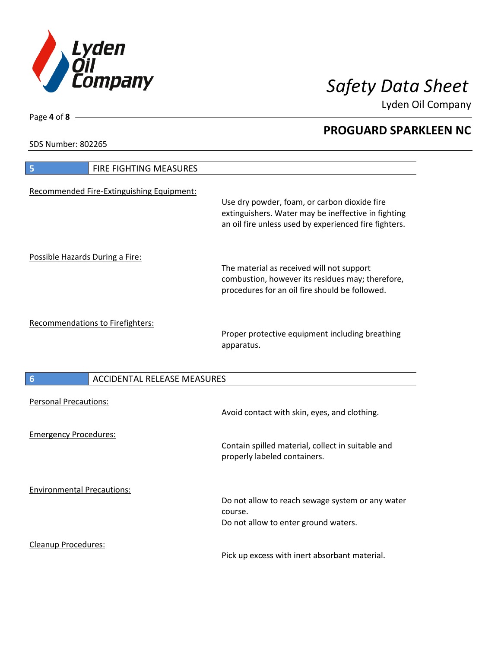

Lyden Oil Company

SDS Number: 802265

| FIRE FIGHTING MEASURES<br>5               |                                                                                                                                                              |
|-------------------------------------------|--------------------------------------------------------------------------------------------------------------------------------------------------------------|
| Recommended Fire-Extinguishing Equipment: | Use dry powder, foam, or carbon dioxide fire<br>extinguishers. Water may be ineffective in fighting<br>an oil fire unless used by experienced fire fighters. |
| Possible Hazards During a Fire:           | The material as received will not support<br>combustion, however its residues may; therefore,<br>procedures for an oil fire should be followed.              |
| Recommendations to Firefighters:          | Proper protective equipment including breathing<br>apparatus.                                                                                                |
| <b>ACCIDENTAL RELEASE MEASURES</b><br>6   |                                                                                                                                                              |
| <b>Personal Precautions:</b>              | Avoid contact with skin, eyes, and clothing.                                                                                                                 |
| <b>Emergency Procedures:</b>              | Contain spilled material, collect in suitable and<br>properly labeled containers.                                                                            |
| <b>Environmental Precautions:</b>         | Do not allow to reach sewage system or any water<br>course.<br>Do not allow to enter ground waters.                                                          |
| <b>Cleanup Procedures:</b>                |                                                                                                                                                              |

Pick up excess with inert absorbant material.

Page **4** of **8**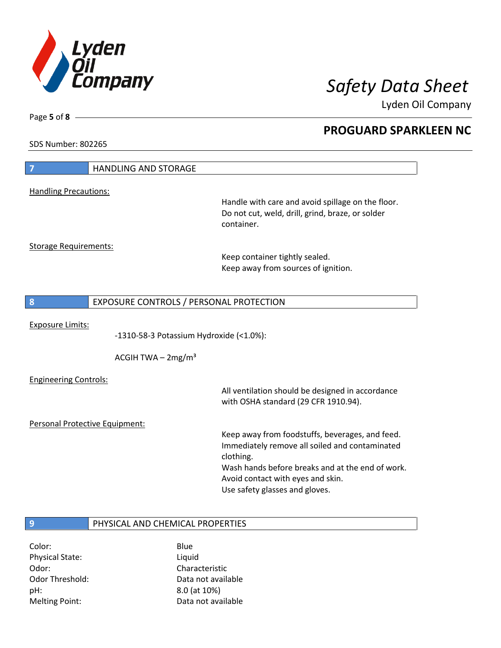

Lyden Oil Company

SDS Number: 802265

Page **5** of **8**

| <b>Handling Precautions:</b><br>Handle with care and avoid spillage on the floor.<br>Do not cut, weld, drill, grind, braze, or solder<br>container.<br><b>Storage Requirements:</b><br>Keep container tightly sealed.<br>Keep away from sources of ignition.<br>EXPOSURE CONTROLS / PERSONAL PROTECTION<br>8<br><b>Exposure Limits:</b><br>-1310-58-3 Potassium Hydroxide (<1.0%):<br>ACGIH TWA $-2mg/m3$<br><b>Engineering Controls:</b><br>All ventilation should be designed in accordance<br>with OSHA standard (29 CFR 1910.94).<br>Personal Protective Equipment: | 7 | <b>HANDLING AND STORAGE</b> |  |
|-------------------------------------------------------------------------------------------------------------------------------------------------------------------------------------------------------------------------------------------------------------------------------------------------------------------------------------------------------------------------------------------------------------------------------------------------------------------------------------------------------------------------------------------------------------------------|---|-----------------------------|--|
|                                                                                                                                                                                                                                                                                                                                                                                                                                                                                                                                                                         |   |                             |  |
|                                                                                                                                                                                                                                                                                                                                                                                                                                                                                                                                                                         |   |                             |  |
|                                                                                                                                                                                                                                                                                                                                                                                                                                                                                                                                                                         |   |                             |  |
|                                                                                                                                                                                                                                                                                                                                                                                                                                                                                                                                                                         |   |                             |  |
|                                                                                                                                                                                                                                                                                                                                                                                                                                                                                                                                                                         |   |                             |  |
|                                                                                                                                                                                                                                                                                                                                                                                                                                                                                                                                                                         |   |                             |  |
|                                                                                                                                                                                                                                                                                                                                                                                                                                                                                                                                                                         |   |                             |  |
|                                                                                                                                                                                                                                                                                                                                                                                                                                                                                                                                                                         |   |                             |  |
|                                                                                                                                                                                                                                                                                                                                                                                                                                                                                                                                                                         |   |                             |  |
|                                                                                                                                                                                                                                                                                                                                                                                                                                                                                                                                                                         |   |                             |  |
|                                                                                                                                                                                                                                                                                                                                                                                                                                                                                                                                                                         |   |                             |  |
|                                                                                                                                                                                                                                                                                                                                                                                                                                                                                                                                                                         |   |                             |  |
|                                                                                                                                                                                                                                                                                                                                                                                                                                                                                                                                                                         |   |                             |  |
|                                                                                                                                                                                                                                                                                                                                                                                                                                                                                                                                                                         |   |                             |  |
|                                                                                                                                                                                                                                                                                                                                                                                                                                                                                                                                                                         |   |                             |  |
|                                                                                                                                                                                                                                                                                                                                                                                                                                                                                                                                                                         |   |                             |  |
|                                                                                                                                                                                                                                                                                                                                                                                                                                                                                                                                                                         |   |                             |  |
|                                                                                                                                                                                                                                                                                                                                                                                                                                                                                                                                                                         |   |                             |  |
|                                                                                                                                                                                                                                                                                                                                                                                                                                                                                                                                                                         |   |                             |  |
| Keep away from foodstuffs, beverages, and feed.<br>Immediately remove all soiled and contaminated                                                                                                                                                                                                                                                                                                                                                                                                                                                                       |   |                             |  |
| clothing.                                                                                                                                                                                                                                                                                                                                                                                                                                                                                                                                                               |   |                             |  |
| Wash hands before breaks and at the end of work.                                                                                                                                                                                                                                                                                                                                                                                                                                                                                                                        |   |                             |  |
| Avoid contact with eyes and skin.                                                                                                                                                                                                                                                                                                                                                                                                                                                                                                                                       |   |                             |  |
| Use safety glasses and gloves.                                                                                                                                                                                                                                                                                                                                                                                                                                                                                                                                          |   |                             |  |
|                                                                                                                                                                                                                                                                                                                                                                                                                                                                                                                                                                         |   |                             |  |
| 9                                                                                                                                                                                                                                                                                                                                                                                                                                                                                                                                                                       |   |                             |  |
| PHYSICAL AND CHEMICAL PROPERTIES                                                                                                                                                                                                                                                                                                                                                                                                                                                                                                                                        |   |                             |  |

Color: Blue Physical State: Liquid Odor: Characteristic pH: 8.0 (at 10%)

Odor Threshold: Data not available Melting Point: Case Controller Muslim Data not available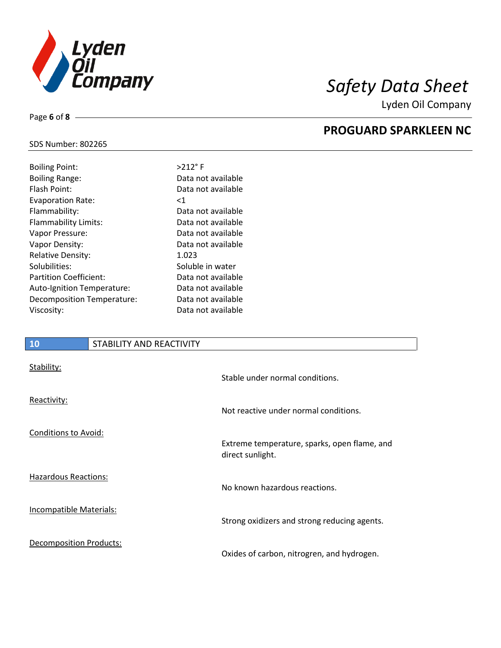

Lyden Oil Company

### SDS Number: 802265

Page **6** of **8**

| <b>Boiling Point:</b>         | $>212$ °F          |
|-------------------------------|--------------------|
| <b>Boiling Range:</b>         | Data not available |
| Flash Point:                  | Data not available |
| <b>Evaporation Rate:</b>      | ${<}1$             |
| Flammability:                 | Data not available |
| Flammability Limits:          | Data not available |
| Vapor Pressure:               | Data not available |
| Vapor Density:                | Data not available |
| <b>Relative Density:</b>      | 1.023              |
| Solubilities:                 | Soluble in water   |
| <b>Partition Coefficient:</b> | Data not available |
| Auto-Ignition Temperature:    | Data not available |
| Decomposition Temperature:    | Data not available |
| Viscosity:                    | Data not available |
|                               |                    |

### **10** STABILITY AND REACTIVITY

| Stability:                     | Stable under normal conditions.                                  |
|--------------------------------|------------------------------------------------------------------|
| Reactivity:                    | Not reactive under normal conditions.                            |
| Conditions to Avoid:           | Extreme temperature, sparks, open flame, and<br>direct sunlight. |
| <b>Hazardous Reactions:</b>    | No known hazardous reactions.                                    |
| <b>Incompatible Materials:</b> | Strong oxidizers and strong reducing agents.                     |
| <b>Decomposition Products:</b> | Oxides of carbon, nitrogren, and hydrogen.                       |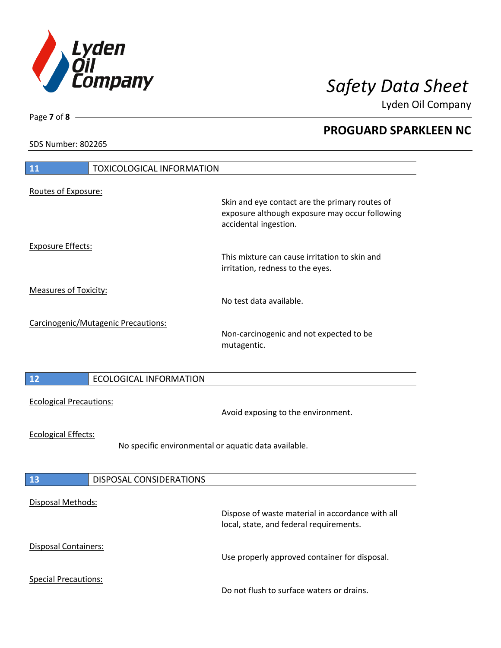

Lyden Oil Company

SDS Number: 802265

Page **7** of **8**

| $\overline{11}$<br><b>TOXICOLOGICAL INFORMATION</b>                                |                                                                                                                           |
|------------------------------------------------------------------------------------|---------------------------------------------------------------------------------------------------------------------------|
| Routes of Exposure:                                                                | Skin and eye contact are the primary routes of<br>exposure although exposure may occur following<br>accidental ingestion. |
| <b>Exposure Effects:</b>                                                           | This mixture can cause irritation to skin and<br>irritation, redness to the eyes.                                         |
| <b>Measures of Toxicity:</b>                                                       | No test data available.                                                                                                   |
| Carcinogenic/Mutagenic Precautions:                                                | Non-carcinogenic and not expected to be<br>mutagentic.                                                                    |
| 12<br><b>ECOLOGICAL INFORMATION</b>                                                |                                                                                                                           |
| <b>Ecological Precautions:</b>                                                     | Avoid exposing to the environment.                                                                                        |
| <b>Ecological Effects:</b><br>No specific environmental or aquatic data available. |                                                                                                                           |
| 13<br>DISPOSAL CONSIDERATIONS                                                      |                                                                                                                           |
| <b>Disposal Methods:</b>                                                           | Dispose of waste material in accordance with all<br>local, state, and federal requirements.                               |
| Disposal Containers:                                                               | Use properly approved container for disposal.                                                                             |
| <b>Special Precautions:</b>                                                        | Do not flush to surface waters or drains.                                                                                 |